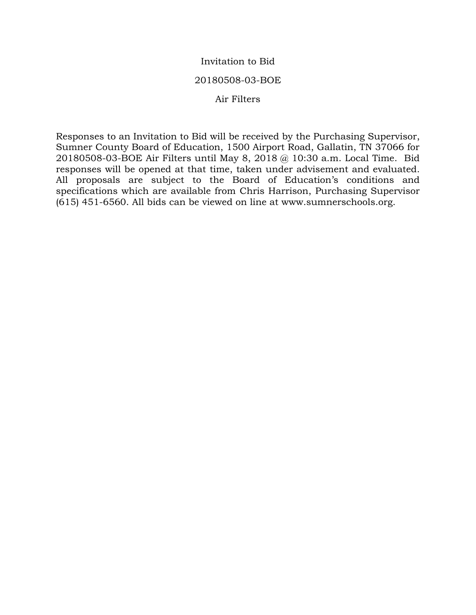### Invitation to Bid

#### 20180508-03-BOE

#### Air Filters

Responses to an Invitation to Bid will be received by the Purchasing Supervisor, Sumner County Board of Education, 1500 Airport Road, Gallatin, TN 37066 for 20180508-03-BOE Air Filters until May 8, 2018 @ 10:30 a.m. Local Time. Bid responses will be opened at that time, taken under advisement and evaluated. All proposals are subject to the Board of Education's conditions and specifications which are available from Chris Harrison, Purchasing Supervisor (615) 451-6560. All bids can be viewed on line at www.sumnerschools.org.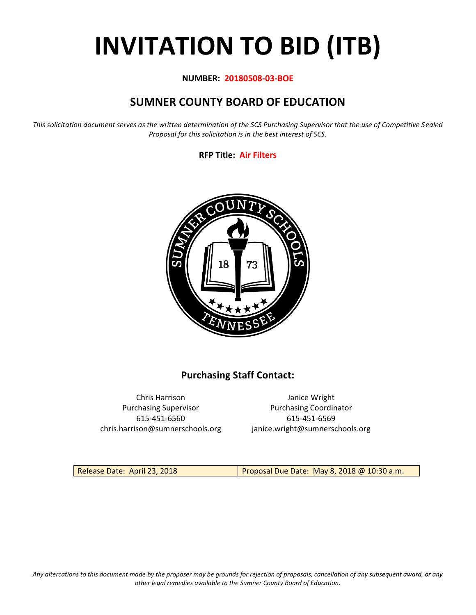# **INVITATION TO BID (ITB)**

#### **NUMBER: 20180508-03-BOE**

# **SUMNER COUNTY BOARD OF EDUCATION**

*This solicitation document serves as the written determination of the SCS Purchasing Supervisor that the use of Competitive Sealed Proposal for this solicitation is in the best interest of SCS.*

#### **RFP Title: Air Filters**



# **Purchasing Staff Contact:**

615-451-6560 615-451-6569 chris.harrison@sumnerschools.org janice.wright@sumnerschools.org

Chris Harrison Janice Wright Purchasing Supervisor **Purchasing Coordinator** 

Release Date: April 23, 2018 Proposal Due Date: May 8, 2018 @ 10:30 a.m.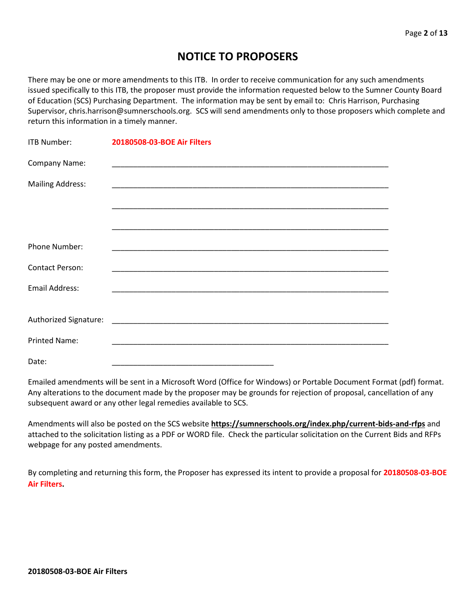# **NOTICE TO PROPOSERS**

There may be one or more amendments to this ITB. In order to receive communication for any such amendments issued specifically to this ITB, the proposer must provide the information requested below to the Sumner County Board of Education (SCS) Purchasing Department. The information may be sent by email to: Chris Harrison, Purchasing Supervisor, chris.harrison@sumnerschools.org. SCS will send amendments only to those proposers which complete and return this information in a timely manner.

| <b>ITB Number:</b>      | 20180508-03-BOE Air Filters |
|-------------------------|-----------------------------|
| Company Name:           |                             |
| <b>Mailing Address:</b> |                             |
|                         |                             |
|                         |                             |
| <b>Phone Number:</b>    |                             |
| <b>Contact Person:</b>  |                             |
| <b>Email Address:</b>   |                             |
|                         |                             |
|                         |                             |
| <b>Printed Name:</b>    |                             |
| Date:                   |                             |

Emailed amendments will be sent in a Microsoft Word (Office for Windows) or Portable Document Format (pdf) format. Any alterations to the document made by the proposer may be grounds for rejection of proposal, cancellation of any subsequent award or any other legal remedies available to SCS.

Amendments will also be posted on the SCS website **https://sumnerschools.org/index.php/current-bids-and-rfps** and attached to the solicitation listing as a PDF or WORD file. Check the particular solicitation on the Current Bids and RFPs webpage for any posted amendments.

By completing and returning this form, the Proposer has expressed its intent to provide a proposal for **20180508-03-BOE Air Filters.**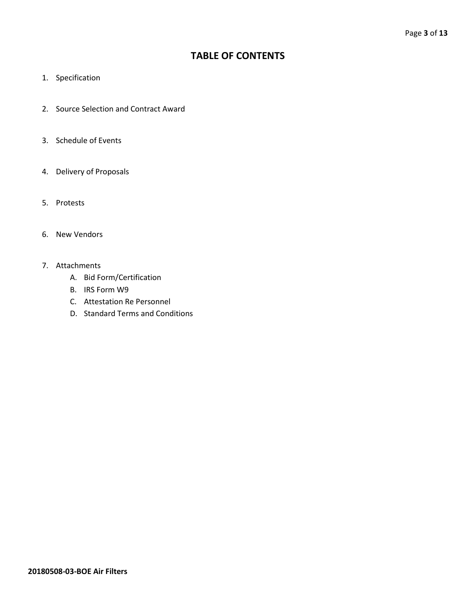# **TABLE OF CONTENTS**

- 1. Specification
- 2. Source Selection and Contract Award
- 3. Schedule of Events
- 4. Delivery of Proposals
- 5. Protests
- 6. New Vendors
- 7. Attachments
	- A. Bid Form/Certification
	- B. IRS Form W9
	- C. Attestation Re Personnel
	- D. Standard Terms and Conditions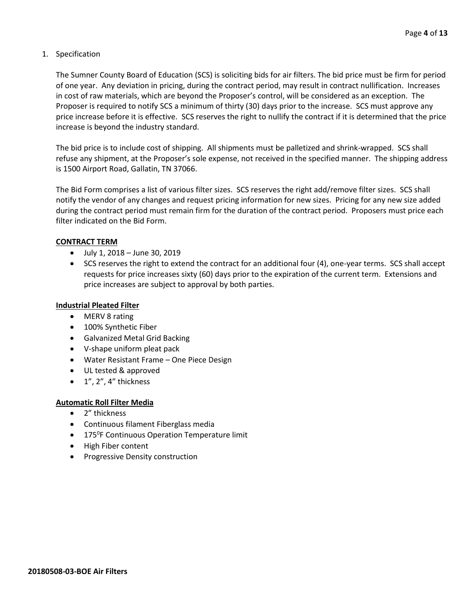#### 1. Specification

The Sumner County Board of Education (SCS) is soliciting bids for air filters. The bid price must be firm for period of one year. Any deviation in pricing, during the contract period, may result in contract nullification. Increases in cost of raw materials, which are beyond the Proposer's control, will be considered as an exception. The Proposer is required to notify SCS a minimum of thirty (30) days prior to the increase. SCS must approve any price increase before it is effective. SCS reserves the right to nullify the contract if it is determined that the price increase is beyond the industry standard.

The bid price is to include cost of shipping. All shipments must be palletized and shrink-wrapped. SCS shall refuse any shipment, at the Proposer's sole expense, not received in the specified manner. The shipping address is 1500 Airport Road, Gallatin, TN 37066.

The Bid Form comprises a list of various filter sizes. SCS reserves the right add/remove filter sizes. SCS shall notify the vendor of any changes and request pricing information for new sizes. Pricing for any new size added during the contract period must remain firm for the duration of the contract period. Proposers must price each filter indicated on the Bid Form.

#### **CONTRACT TERM**

- July 1, 2018 June 30, 2019
- SCS reserves the right to extend the contract for an additional four (4), one-year terms. SCS shall accept requests for price increases sixty (60) days prior to the expiration of the current term. Extensions and price increases are subject to approval by both parties.

#### **Industrial Pleated Filter**

- MERV 8 rating
- 100% Synthetic Fiber
- Galvanized Metal Grid Backing
- V-shape uniform pleat pack
- Water Resistant Frame One Piece Design
- UL tested & approved
- $\bullet$  1", 2", 4" thickness

#### **Automatic Roll Filter Media**

- 2" thickness
- Continuous filament Fiberglass media
- 175<sup>°</sup>F Continuous Operation Temperature limit
- High Fiber content
- Progressive Density construction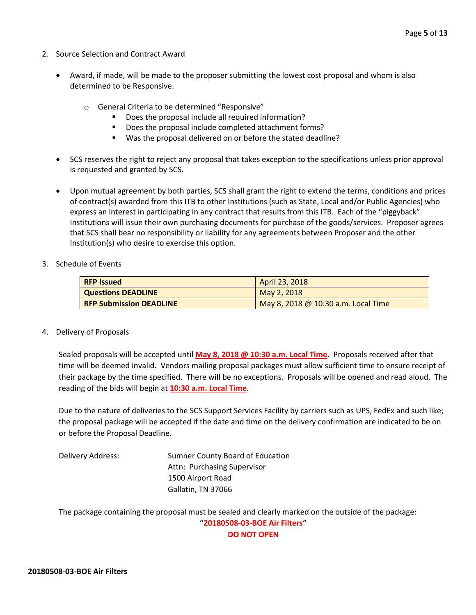- 2. Source Selection and Contract Award
	- Award, if made, will be made to the proposer submitting the lowest cost proposal and whom is also determined to be Responsive.
		- o General Criteria to be determined "Responsive"
			- Does the proposal include all required information?
			- Does the proposal include completed attachment forms?
			- Was the proposal delivered on or before the stated deadline?
	- SCS reserves the right to reject any proposal that takes exception to the specifications unless prior approval is requested and granted by SCS.
	- Upon mutual agreement by both parties, SCS shall grant the right to extend the terms, conditions and prices of contract(s) awarded from this ITB to other Institutions (such as State, Local and/or Public Agencies) who express an interest in participating in any contract that results from this ITB. Each of the "piggyback" Institutions will issue their own purchasing documents for purchase of the goods/services. Proposer agrees that SCS shall bear no responsibility or liability for any agreements between Proposer and the other Institution(s) who desire to exercise this option.
- 3. Schedule of Events

| <b>RFP Issued</b>              | April 23, 2018                      |
|--------------------------------|-------------------------------------|
| <b>Questions DEADLINE</b>      | May 2, 2018                         |
| <b>RFP Submission DEADLINE</b> | May 8, 2018 @ 10:30 a.m. Local Time |

4. Delivery of Proposals

Sealed proposals will be accepted until **May 8, 2018 @ 10:30 a.m. Local Time**. Proposals received after that time will be deemed invalid. Vendors mailing proposal packages must allow sufficient time to ensure receipt of their package by the time specified. There will be no exceptions. Proposals will be opened and read aloud. The reading of the bids will begin at **10:30 a.m. Local Time**.

Due to the nature of deliveries to the SCS Support Services Facility by carriers such as UPS, FedEx and such like; the proposal package will be accepted if the date and time on the delivery confirmation are indicated to be on or before the Proposal Deadline.

Delivery Address: Sumner County Board of Education Attn: Purchasing Supervisor 1500 Airport Road Gallatin, TN 37066

The package containing the proposal must be sealed and clearly marked on the outside of the package: **"20180508-03-BOE Air Filters" DO NOT OPEN**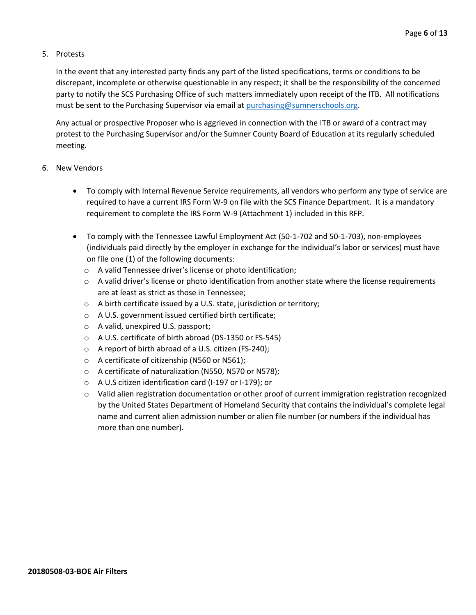#### 5. Protests

In the event that any interested party finds any part of the listed specifications, terms or conditions to be discrepant, incomplete or otherwise questionable in any respect; it shall be the responsibility of the concerned party to notify the SCS Purchasing Office of such matters immediately upon receipt of the ITB. All notifications must be sent to the Purchasing Supervisor via email at [purchasing@sumnerschools.org.](mailto:purchasing@sumnerschools.org)

Any actual or prospective Proposer who is aggrieved in connection with the ITB or award of a contract may protest to the Purchasing Supervisor and/or the Sumner County Board of Education at its regularly scheduled meeting.

#### 6. New Vendors

- To comply with Internal Revenue Service requirements, all vendors who perform any type of service are required to have a current IRS Form W-9 on file with the SCS Finance Department. It is a mandatory requirement to complete the IRS Form W-9 (Attachment 1) included in this RFP.
- To comply with the Tennessee Lawful Employment Act (50-1-702 and 50-1-703), non-employees (individuals paid directly by the employer in exchange for the individual's labor or services) must have on file one (1) of the following documents:
	- o A valid Tennessee driver's license or photo identification;
	- $\circ$  A valid driver's license or photo identification from another state where the license requirements are at least as strict as those in Tennessee;
	- o A birth certificate issued by a U.S. state, jurisdiction or territory;
	- o A U.S. government issued certified birth certificate;
	- o A valid, unexpired U.S. passport;
	- o A U.S. certificate of birth abroad (DS-1350 or FS-545)
	- o A report of birth abroad of a U.S. citizen (FS-240);
	- o A certificate of citizenship (N560 or N561);
	- o A certificate of naturalization (N550, N570 or N578);
	- o A U.S citizen identification card (I-197 or I-179); or
	- $\circ$  Valid alien registration documentation or other proof of current immigration registration recognized by the United States Department of Homeland Security that contains the individual's complete legal name and current alien admission number or alien file number (or numbers if the individual has more than one number).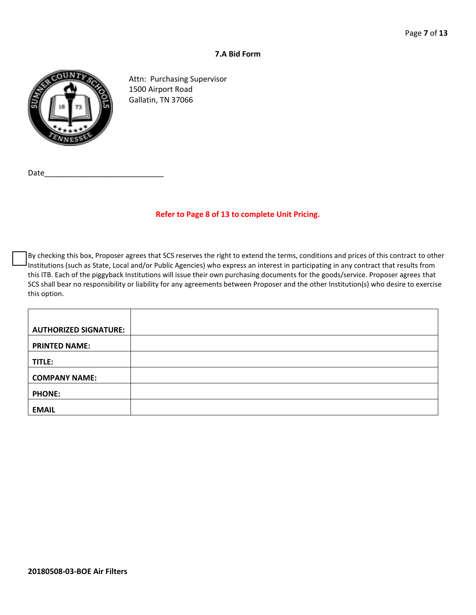#### **7.A Bid Form**



Attn: Purchasing Supervisor 1500 Airport Road Gallatin, TN 37066

Date

#### **Refer to Page 8 of 13 to complete Unit Pricing.**

By checking this box, Proposer agrees that SCS reserves the right to extend the terms, conditions and prices of this contract to other Institutions (such as State, Local and/or Public Agencies) who express an interest in participating in any contract that results from this ITB. Each of the piggyback Institutions will issue their own purchasing documents for the goods/service. Proposer agrees that SCS shall bear no responsibility or liability for any agreements between Proposer and the other Institution(s) who desire to exercise this option.

| <b>AUTHORIZED SIGNATURE:</b> |  |
|------------------------------|--|
| <b>PRINTED NAME:</b>         |  |
| TITLE:                       |  |
| <b>COMPANY NAME:</b>         |  |
| <b>PHONE:</b>                |  |
| <b>EMAIL</b>                 |  |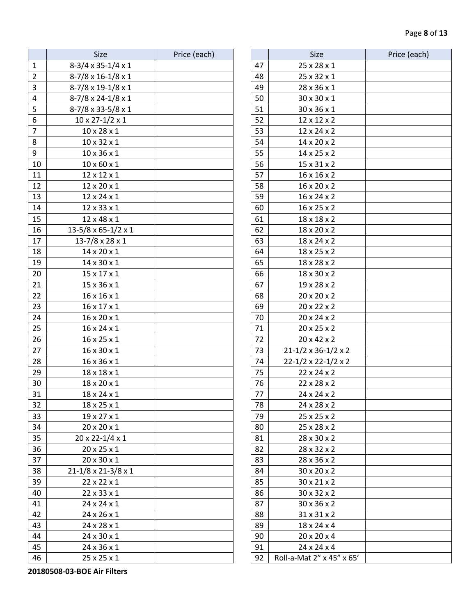|                | Size                           | Price (each) |    | Size                                |
|----------------|--------------------------------|--------------|----|-------------------------------------|
| $\mathbf{1}$   | 8-3/4 x 35-1/4 x 1             |              | 47 | 25 x 28 x 1                         |
| $\overline{2}$ | $8-7/8 \times 16-1/8 \times 1$ |              | 48 | 25 x 32 x 1                         |
| 3              | 8-7/8 x 19-1/8 x 1             |              | 49 | 28 x 36 x 1                         |
| 4              | 8-7/8 x 24-1/8 x 1             |              | 50 | 30 x 30 x 1                         |
| 5              | 8-7/8 x 33-5/8 x 1             |              | 51 | 30 x 36 x 1                         |
| 6              | $10 \times 27 - 1/2 \times 1$  |              | 52 | 12 x 12 x 2                         |
| $\overline{7}$ | $10 \times 28 \times 1$        |              | 53 | 12 x 24 x 2                         |
| 8              | $10 \times 32 \times 1$        |              | 54 | 14 x 20 x 2                         |
| 9              | 10 x 36 x 1                    |              | 55 | 14 x 25 x 2                         |
| 10             | $10 \times 60 \times 1$        |              | 56 | 15 x 31 x 2                         |
| 11             | 12 x 12 x 1                    |              | 57 | 16 x 16 x 2                         |
| 12             | 12 x 20 x 1                    |              | 58 | $16 \times 20 \times 2$             |
| 13             | 12 x 24 x 1                    |              | 59 | 16 x 24 x 2                         |
| 14             | 12 x 33 x 1                    |              | 60 | 16 x 25 x 2                         |
| 15             | 12 x 48 x 1                    |              | 61 | 18 x 18 x 2                         |
| 16             | 13-5/8 x 65-1/2 x 1            |              | 62 | 18 x 20 x 2                         |
| 17             | $13 - 7/8 \times 28 \times 1$  |              | 63 | 18 x 24 x 2                         |
| 18             | 14 x 20 x 1                    |              | 64 | 18 x 25 x 2                         |
| 19             | 14 x 30 x 1                    |              | 65 | 18 x 28 x 2                         |
| 20             | 15 x 17 x 1                    |              | 66 | 18 x 30 x 2                         |
| 21             | 15 x 36 x 1                    |              | 67 | 19 x 28 x 2                         |
| 22             | 16 x 16 x 1                    |              | 68 | 20 x 20 x 2                         |
| 23             | 16 x 17 x 1                    |              | 69 | 20 x 22 x 2                         |
| 24             | 16 x 20 x 1                    |              | 70 | 20 x 24 x 2                         |
| 25             | 16 x 24 x 1                    |              | 71 | 20 x 25 x 2                         |
| 26             | 16 x 25 x 1                    |              | 72 | 20 x 42 x 2                         |
| 27             | 16 x 30 x 1                    |              | 73 | $21 - 1/2 \times 36 - 1/2 \times 2$ |
| 28             | 16 x 36 x 1                    |              | 74 | $22 - 1/2 \times 22 - 1/2 \times 2$ |
| 29             | 18 x 18 x 1                    |              | 75 | $22 \times 24 \times 2$             |
| 30             | 18 x 20 x 1                    |              | 76 | 22 x 28 x 2                         |
| 31             | 18 x 24 x 1                    |              | 77 | 24 x 24 x 2                         |
| 32             | 18 x 25 x 1                    |              | 78 | 24 x 28 x 2                         |
| 33             | 19 x 27 x 1                    |              | 79 | 25 x 25 x 2                         |
| 34             | 20 x 20 x 1                    |              | 80 | 25 x 28 x 2                         |
| 35             | 20 x 22-1/4 x 1                |              | 81 | 28 x 30 x 2                         |
| 36             | 20 x 25 x 1                    |              | 82 | 28 x 32 x 2                         |
| 37             | 20 x 30 x 1                    |              | 83 | 28 x 36 x 2                         |
| 38             | 21-1/8 x 21-3/8 x 1            |              | 84 | 30 x 20 x 2                         |
| 39             | 22 x 22 x 1                    |              | 85 | 30 x 21 x 2                         |
| 40             | 22 x 33 x 1                    |              | 86 | 30 x 32 x 2                         |
| 41             | 24 x 24 x 1                    |              | 87 | 30 x 36 x 2                         |
| 42             | 24 x 26 x 1                    |              | 88 | 31 x 31 x 2                         |
| 43             | 24 x 28 x 1                    |              | 89 | 18 x 24 x 4                         |
| 44             | 24 x 30 x 1                    |              | 90 | 20 x 20 x 4                         |
| 45             | 24 x 36 x 1                    |              | 91 | 24 x 24 x 4                         |
| 46             | 25 x 25 x 1                    |              | 92 | Roll-a-Mat 2" x 45" x 65'           |

| Size                   | Price (each) |    | Size                                | Price (each) |
|------------------------|--------------|----|-------------------------------------|--------------|
| $35-1/4 \times 1$      |              | 47 | 25 x 28 x 1                         |              |
| $16-1/8 \times 1$      |              | 48 | 25 x 32 x 1                         |              |
| $19-1/8 \times 1$      |              | 49 | 28 x 36 x 1                         |              |
| $24-1/8 \times 1$      |              | 50 | 30 x 30 x 1                         |              |
| $33 - 5/8 \times 1$    |              | 51 | 30 x 36 x 1                         |              |
| $27 - 1/2 \times 1$    |              | 52 | 12 x 12 x 2                         |              |
| x 28 x 1               |              | 53 | 12 x 24 x 2                         |              |
| x 32 x 1               |              | 54 | 14 x 20 x 2                         |              |
| x 36 x 1               |              | 55 | 14 x 25 x 2                         |              |
| x 60 x 1               |              | 56 | $15 \times 31 \times 2$             |              |
| x 12 x 1               |              | 57 | $16 \times 16 \times 2$             |              |
| x 20 x 1               |              | 58 | $16 \times 20 \times 2$             |              |
| x 24 x 1               |              | 59 | 16 x 24 x 2                         |              |
| x 33 x 1               |              | 60 | $16 \times 25 \times 2$             |              |
| x 48 x 1               |              | 61 | 18 x 18 x 2                         |              |
| x 65-1/2 x 1           |              | 62 | 18 x 20 x 2                         |              |
| $8 \times 28 \times 1$ |              | 63 | 18 x 24 x 2                         |              |
| x 20 x 1               |              | 64 | 18 x 25 x 2                         |              |
| x 30 x 1               |              | 65 | 18 x 28 x 2                         |              |
| x 17 x 1               |              | 66 | 18 x 30 x 2                         |              |
| x 36 x 1               |              | 67 | 19 x 28 x 2                         |              |
| x 16 x 1               |              | 68 | 20 x 20 x 2                         |              |
| x 17 x 1               |              | 69 | 20 x 22 x 2                         |              |
| x 20 x 1               |              | 70 | 20 x 24 x 2                         |              |
| x 24 x 1               |              | 71 | 20 x 25 x 2                         |              |
| x 25 x 1               |              | 72 | 20 x 42 x 2                         |              |
| x 30 x 1               |              | 73 | $21 - 1/2 \times 36 - 1/2 \times 2$ |              |
| x 36 x 1               |              | 74 | $22 - 1/2 \times 22 - 1/2 \times 2$ |              |
| x 18 x 1               |              | 75 | 22 x 24 x 2                         |              |
| x 20 x 1               |              | 76 | 22 x 28 x 2                         |              |
| x 24 x 1               |              | 77 | 24 x 24 x 2                         |              |
| x 25 x 1               |              | 78 | 24 x 28 x 2                         |              |
| x 27 x 1               |              | 79 | 25 x 25 x 2                         |              |
| x 20 x 1               |              | 80 | 25 x 28 x 2                         |              |
| $2 - 1/4 \times 1$     |              | 81 | 28 x 30 x 2                         |              |
| x 25 x 1               |              | 82 | 28 x 32 x 2                         |              |
| x 30 x 1               |              | 83 | 28 x 36 x 2                         |              |
| x 21-3/8 x 1           |              | 84 | 30 x 20 x 2                         |              |
| x 22 x 1               |              | 85 | 30 x 21 x 2                         |              |
| x 33 x 1               |              | 86 | 30 x 32 x 2                         |              |
| x 24 x 1               |              | 87 | 30 x 36 x 2                         |              |
| x 26 x 1               |              | 88 | $31 \times 31 \times 2$             |              |
| x 28 x 1               |              | 89 | 18 x 24 x 4                         |              |
| x 30 x 1               |              | 90 | $20 \times 20 \times 4$             |              |
| x 36 x 1               |              | 91 | 24 x 24 x 4                         |              |
| x 25 x 1               |              | 92 | Roll-a-Mat 2" x 45" x 65'           |              |

**20180508-03-BOE Air Filters**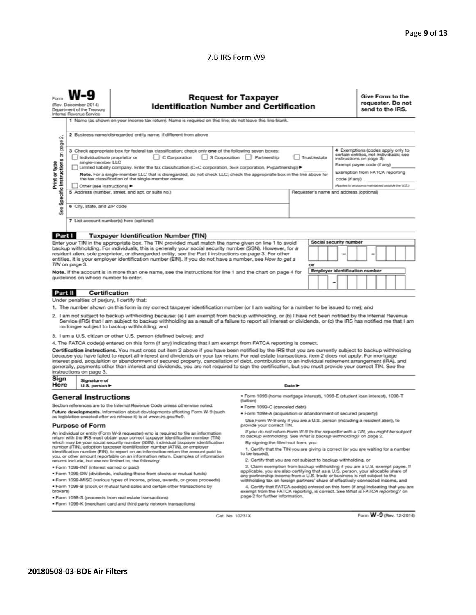#### 7.B IRS Form W9

| <b>Request for Taxpayer</b><br><b>Identification Number and Certification</b><br>(Rev. December 2014)<br>Department of the Treasury<br>Internal Revenue Service<br>1 Name (as shown on your income tax return). Name is required on this line; do not leave this line blank.                                                                                                                                                                                                                                                                                                                                                                                                                                                                                                |                                                                                                                                                                                                                                                                                                                                                                                                                                                                                                                                                                                                                                                                                    |                                                                                                                                                                                                                                                                                    |                                                                                                                                                                  |               |                                                                                                                                                                                                                              | Give Form to the<br>requester. Do not<br>send to the IRS. |  |
|-----------------------------------------------------------------------------------------------------------------------------------------------------------------------------------------------------------------------------------------------------------------------------------------------------------------------------------------------------------------------------------------------------------------------------------------------------------------------------------------------------------------------------------------------------------------------------------------------------------------------------------------------------------------------------------------------------------------------------------------------------------------------------|------------------------------------------------------------------------------------------------------------------------------------------------------------------------------------------------------------------------------------------------------------------------------------------------------------------------------------------------------------------------------------------------------------------------------------------------------------------------------------------------------------------------------------------------------------------------------------------------------------------------------------------------------------------------------------|------------------------------------------------------------------------------------------------------------------------------------------------------------------------------------------------------------------------------------------------------------------------------------|------------------------------------------------------------------------------------------------------------------------------------------------------------------|---------------|------------------------------------------------------------------------------------------------------------------------------------------------------------------------------------------------------------------------------|-----------------------------------------------------------|--|
| οi                                                                                                                                                                                                                                                                                                                                                                                                                                                                                                                                                                                                                                                                                                                                                                          | 2 Business name/disregarded entity name, if different from above                                                                                                                                                                                                                                                                                                                                                                                                                                                                                                                                                                                                                   |                                                                                                                                                                                                                                                                                    |                                                                                                                                                                  |               |                                                                                                                                                                                                                              |                                                           |  |
| page<br>Specific Instructions on<br>Print or type<br>See                                                                                                                                                                                                                                                                                                                                                                                                                                                                                                                                                                                                                                                                                                                    | 3 Check appropriate box for federal tax classification; check only one of the following seven boxes:<br>S Corporation Partnership<br>Individual/sole proprietor or<br>C Corporation<br>Trust/estate<br>single-member LLC<br>Limited liability company. Enter the tax classification (C=C corporation, S=S corporation, P=partnership) ▶<br>Note. For a single-member LLC that is disregarded, do not check LLC; check the appropriate box in the line above for<br>the tax classification of the single-member owner.<br>Other (see instructions) ▶<br>5 Address (number, street, and apt. or suite no.)<br>Requester's name and address (optional)<br>6 City, state, and ZIP code |                                                                                                                                                                                                                                                                                    |                                                                                                                                                                  | code (if any) | 4 Exemptions (codes apply only to<br>certain entities, not individuals; see<br>instructions on page 3):<br>Exempt payee code (if any)<br>Exemption from FATCA reporting<br>(Applies to accounts maintained outside the U.S.) |                                                           |  |
|                                                                                                                                                                                                                                                                                                                                                                                                                                                                                                                                                                                                                                                                                                                                                                             |                                                                                                                                                                                                                                                                                                                                                                                                                                                                                                                                                                                                                                                                                    | 7 List account number(s) here (optional)                                                                                                                                                                                                                                           |                                                                                                                                                                  |               |                                                                                                                                                                                                                              |                                                           |  |
| Part I                                                                                                                                                                                                                                                                                                                                                                                                                                                                                                                                                                                                                                                                                                                                                                      |                                                                                                                                                                                                                                                                                                                                                                                                                                                                                                                                                                                                                                                                                    | <b>Taxpayer Identification Number (TIN)</b>                                                                                                                                                                                                                                        |                                                                                                                                                                  |               |                                                                                                                                                                                                                              |                                                           |  |
| Enter your TIN in the appropriate box. The TIN provided must match the name given on line 1 to avoid<br>backup withholding. For individuals, this is generally your social security number (SSN). However, for a<br>resident alien, sole proprietor, or disregarded entity, see the Part I instructions on page 3. For other<br>entities, it is your employer identification number (EIN). If you do not have a number, see How to get a<br>TIN on page 3.<br>Note. If the account is in more than one name, see the instructions for line 1 and the chart on page 4 for<br>guidelines on whose number to enter.                                                                                                                                                            |                                                                                                                                                                                                                                                                                                                                                                                                                                                                                                                                                                                                                                                                                    |                                                                                                                                                                                                                                                                                    | Social security number<br>or<br><b>Employer identification number</b>                                                                                            |               |                                                                                                                                                                                                                              |                                                           |  |
| Part II                                                                                                                                                                                                                                                                                                                                                                                                                                                                                                                                                                                                                                                                                                                                                                     | <b>Certification</b>                                                                                                                                                                                                                                                                                                                                                                                                                                                                                                                                                                                                                                                               |                                                                                                                                                                                                                                                                                    |                                                                                                                                                                  |               |                                                                                                                                                                                                                              |                                                           |  |
|                                                                                                                                                                                                                                                                                                                                                                                                                                                                                                                                                                                                                                                                                                                                                                             | Under penalties of perjury, I certify that:                                                                                                                                                                                                                                                                                                                                                                                                                                                                                                                                                                                                                                        |                                                                                                                                                                                                                                                                                    |                                                                                                                                                                  |               |                                                                                                                                                                                                                              |                                                           |  |
| 1. The number shown on this form is my correct taxpayer identification number (or I am waiting for a number to be issued to me); and<br>2. I am not subject to backup withholding because: (a) I am exempt from backup withholding, or (b) I have not been notified by the Internal Revenue<br>Service (IRS) that I am subject to backup withholding as a result of a failure to report all interest or dividends, or (c) the IRS has notified me that I am<br>no longer subject to backup withholding; and                                                                                                                                                                                                                                                                 |                                                                                                                                                                                                                                                                                                                                                                                                                                                                                                                                                                                                                                                                                    |                                                                                                                                                                                                                                                                                    |                                                                                                                                                                  |               |                                                                                                                                                                                                                              |                                                           |  |
|                                                                                                                                                                                                                                                                                                                                                                                                                                                                                                                                                                                                                                                                                                                                                                             |                                                                                                                                                                                                                                                                                                                                                                                                                                                                                                                                                                                                                                                                                    | 3. I am a U.S. citizen or other U.S. person (defined below); and                                                                                                                                                                                                                   |                                                                                                                                                                  |               |                                                                                                                                                                                                                              |                                                           |  |
| 4. The FATCA code(s) entered on this form (if any) indicating that I am exempt from FATCA reporting is correct.<br>Certification instructions. You must cross out item 2 above if you have been notified by the IRS that you are currently subject to backup withholding<br>because you have failed to report all interest and dividends on your tax return. For real estate transactions, item 2 does not apply. For mortgage<br>interest paid, acquisition or abandonment of secured property, cancellation of debt, contributions to an individual retirement arrangement (IRA), and<br>generally, payments other than interest and dividends, you are not required to sign the certification, but you must provide your correct TIN. See the<br>instructions on page 3. |                                                                                                                                                                                                                                                                                                                                                                                                                                                                                                                                                                                                                                                                                    |                                                                                                                                                                                                                                                                                    |                                                                                                                                                                  |               |                                                                                                                                                                                                                              |                                                           |  |
| Sign<br>Here                                                                                                                                                                                                                                                                                                                                                                                                                                                                                                                                                                                                                                                                                                                                                                | Signature of<br>Date $\blacktriangleright$<br>U.S. person $\blacktriangleright$                                                                                                                                                                                                                                                                                                                                                                                                                                                                                                                                                                                                    |                                                                                                                                                                                                                                                                                    |                                                                                                                                                                  |               |                                                                                                                                                                                                                              |                                                           |  |
|                                                                                                                                                                                                                                                                                                                                                                                                                                                                                                                                                                                                                                                                                                                                                                             | <b>General Instructions</b>                                                                                                                                                                                                                                                                                                                                                                                                                                                                                                                                                                                                                                                        |                                                                                                                                                                                                                                                                                    | · Form 1098 (home mortgage interest), 1098-E (student loan interest), 1098-T                                                                                     |               |                                                                                                                                                                                                                              |                                                           |  |
|                                                                                                                                                                                                                                                                                                                                                                                                                                                                                                                                                                                                                                                                                                                                                                             |                                                                                                                                                                                                                                                                                                                                                                                                                                                                                                                                                                                                                                                                                    | Section references are to the Internal Revenue Code unless otherwise noted.                                                                                                                                                                                                        | (tuition)<br>· Form 1099-C (canceled debt)                                                                                                                       |               |                                                                                                                                                                                                                              |                                                           |  |
| Future developments. Information about developments affecting Form W-9 (such                                                                                                                                                                                                                                                                                                                                                                                                                                                                                                                                                                                                                                                                                                |                                                                                                                                                                                                                                                                                                                                                                                                                                                                                                                                                                                                                                                                                    |                                                                                                                                                                                                                                                                                    | . Form 1099-A (acquisition or abandonment of secured property)                                                                                                   |               |                                                                                                                                                                                                                              |                                                           |  |
| as legislation enacted after we release it) is at www.irs.gov/fw9.                                                                                                                                                                                                                                                                                                                                                                                                                                                                                                                                                                                                                                                                                                          |                                                                                                                                                                                                                                                                                                                                                                                                                                                                                                                                                                                                                                                                                    | Use Form W-9 only if you are a U.S. person (including a resident alien), to<br>provide your correct TIN.                                                                                                                                                                           |                                                                                                                                                                  |               |                                                                                                                                                                                                                              |                                                           |  |
| <b>Purpose of Form</b><br>An individual or entity (Form W-9 requester) who is required to file an information<br>return with the IRS must obtain your correct taxpayer identification number (TIN)<br>which may be your social security number (SSN), individual taxpayer identification<br>number (ITIN), adoption taxpayer identification number (ATIN), or employer<br>identification number (EIN), to report on an information return the amount paid to                                                                                                                                                                                                                                                                                                                |                                                                                                                                                                                                                                                                                                                                                                                                                                                                                                                                                                                                                                                                                    | If you do not return Form W-9 to the requester with a TIN, you might be subject<br>to backup withholding. See What is backup withholding? on page 2.<br>By signing the filled-out form, you:<br>1. Certify that the TIN you are giving is correct (or you are waiting for a number |                                                                                                                                                                  |               |                                                                                                                                                                                                                              |                                                           |  |
| to be issued).<br>you, or other amount reportable on an information return. Examples of information<br>2. Certify that you are not subject to backup withholding, or<br>returns include, but are not limited to, the following:                                                                                                                                                                                                                                                                                                                                                                                                                                                                                                                                             |                                                                                                                                                                                                                                                                                                                                                                                                                                                                                                                                                                                                                                                                                    |                                                                                                                                                                                                                                                                                    |                                                                                                                                                                  |               |                                                                                                                                                                                                                              |                                                           |  |
| 3. Claim exemption from backup withholding if you are a U.S. exempt payee. If<br>· Form 1099-INT (interest earned or paid)                                                                                                                                                                                                                                                                                                                                                                                                                                                                                                                                                                                                                                                  |                                                                                                                                                                                                                                                                                                                                                                                                                                                                                                                                                                                                                                                                                    |                                                                                                                                                                                                                                                                                    |                                                                                                                                                                  |               |                                                                                                                                                                                                                              |                                                           |  |
| . Form 1099-DIV (dividends, including those from stocks or mutual funds)                                                                                                                                                                                                                                                                                                                                                                                                                                                                                                                                                                                                                                                                                                    |                                                                                                                                                                                                                                                                                                                                                                                                                                                                                                                                                                                                                                                                                    |                                                                                                                                                                                                                                                                                    | applicable, you are also certifying that as a U.S. person, your allocable share of<br>any partnership income from a U.S. trade or business is not subject to the |               |                                                                                                                                                                                                                              |                                                           |  |
| * Form 1099-MISC (various types of income, prizes, awards, or gross proceeds)<br>withholding tax on foreign partners' share of effectively connected income, and                                                                                                                                                                                                                                                                                                                                                                                                                                                                                                                                                                                                            |                                                                                                                                                                                                                                                                                                                                                                                                                                                                                                                                                                                                                                                                                    |                                                                                                                                                                                                                                                                                    |                                                                                                                                                                  |               |                                                                                                                                                                                                                              |                                                           |  |
| . Form 1099-B (stock or mutual fund sales and certain other transactions by<br>4. Certify that FATCA code(s) entered on this form (if any) indicating that you are<br>exempt from the FATCA reporting, is correct. See What is FATCA reporting? on<br>brokers)                                                                                                                                                                                                                                                                                                                                                                                                                                                                                                              |                                                                                                                                                                                                                                                                                                                                                                                                                                                                                                                                                                                                                                                                                    |                                                                                                                                                                                                                                                                                    |                                                                                                                                                                  |               |                                                                                                                                                                                                                              |                                                           |  |
|                                                                                                                                                                                                                                                                                                                                                                                                                                                                                                                                                                                                                                                                                                                                                                             | page 2 for further information.<br>· Form 1099-S (proceeds from real estate transactions)                                                                                                                                                                                                                                                                                                                                                                                                                                                                                                                                                                                          |                                                                                                                                                                                                                                                                                    |                                                                                                                                                                  |               |                                                                                                                                                                                                                              |                                                           |  |
|                                                                                                                                                                                                                                                                                                                                                                                                                                                                                                                                                                                                                                                                                                                                                                             | . Form 1099-K (merchant card and third party network transactions)                                                                                                                                                                                                                                                                                                                                                                                                                                                                                                                                                                                                                 |                                                                                                                                                                                                                                                                                    |                                                                                                                                                                  |               |                                                                                                                                                                                                                              |                                                           |  |

Cat. No. 10231X

Form W-9 (Rev. 12-2014)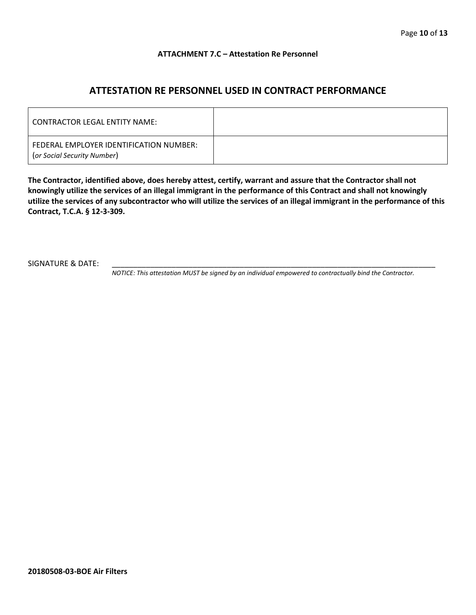#### **ATTACHMENT 7.C – Attestation Re Personnel**

# **ATTESTATION RE PERSONNEL USED IN CONTRACT PERFORMANCE**

| CONTRACTOR LEGAL ENTITY NAME:                                          |  |
|------------------------------------------------------------------------|--|
| FEDERAL EMPLOYER IDENTIFICATION NUMBER:<br>(or Social Security Number) |  |

**The Contractor, identified above, does hereby attest, certify, warrant and assure that the Contractor shall not knowingly utilize the services of an illegal immigrant in the performance of this Contract and shall not knowingly utilize the services of any subcontractor who will utilize the services of an illegal immigrant in the performance of this Contract, T.C.A. § 12-3-309.**

SIGNATURE & DATE:

*NOTICE: This attestation MUST be signed by an individual empowered to contractually bind the Contractor.*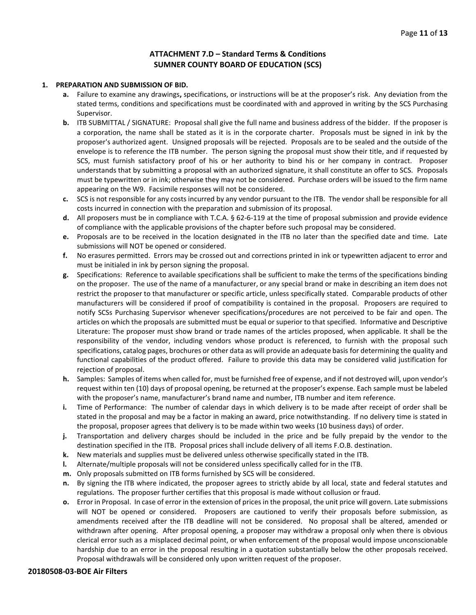#### **ATTACHMENT 7.D – Standard Terms & Conditions SUMNER COUNTY BOARD OF EDUCATION (SCS)**

#### **1. PREPARATION AND SUBMISSION OF BID.**

- **a.** Failure to examine any drawings**,** specifications, or instructions will be at the proposer's risk. Any deviation from the stated terms, conditions and specifications must be coordinated with and approved in writing by the SCS Purchasing Supervisor.
- **b.** ITB SUBMITTAL / SIGNATURE: Proposal shall give the full name and business address of the bidder. If the proposer is a corporation, the name shall be stated as it is in the corporate charter. Proposals must be signed in ink by the proposer's authorized agent. Unsigned proposals will be rejected. Proposals are to be sealed and the outside of the envelope is to reference the ITB number. The person signing the proposal must show their title, and if requested by SCS, must furnish satisfactory proof of his or her authority to bind his or her company in contract. Proposer understands that by submitting a proposal with an authorized signature, it shall constitute an offer to SCS. Proposals must be typewritten or in ink; otherwise they may not be considered. Purchase orders will be issued to the firm name appearing on the W9. Facsimile responses will not be considered.
- **c.** SCS is not responsible for any costs incurred by any vendor pursuant to the ITB. The vendor shall be responsible for all costs incurred in connection with the preparation and submission of its proposal.
- **d.** All proposers must be in compliance with T.C.A. § 62-6-119 at the time of proposal submission and provide evidence of compliance with the applicable provisions of the chapter before such proposal may be considered.
- **e.** Proposals are to be received in the location designated in the ITB no later than the specified date and time. Late submissions will NOT be opened or considered.
- **f.** No erasures permitted. Errors may be crossed out and corrections printed in ink or typewritten adjacent to error and must be initialed in ink by person signing the proposal.
- **g.** Specifications: Reference to available specifications shall be sufficient to make the terms of the specifications binding on the proposer. The use of the name of a manufacturer, or any special brand or make in describing an item does not restrict the proposer to that manufacturer or specific article, unless specifically stated. Comparable products of other manufacturers will be considered if proof of compatibility is contained in the proposal. Proposers are required to notify SCSs Purchasing Supervisor whenever specifications/procedures are not perceived to be fair and open. The articles on which the proposals are submitted must be equal or superior to that specified. Informative and Descriptive Literature: The proposer must show brand or trade names of the articles proposed, when applicable. It shall be the responsibility of the vendor, including vendors whose product is referenced, to furnish with the proposal such specifications, catalog pages, brochures or other data as will provide an adequate basis for determining the quality and functional capabilities of the product offered. Failure to provide this data may be considered valid justification for rejection of proposal.
- **h.** Samples: Samples of items when called for, must be furnished free of expense, and if not destroyed will, upon vendor's request within ten (10) days of proposal opening, be returned at the proposer's expense. Each sample must be labeled with the proposer's name, manufacturer's brand name and number, ITB number and item reference.
- **i.** Time of Performance: The number of calendar days in which delivery is to be made after receipt of order shall be stated in the proposal and may be a factor in making an award, price notwithstanding. If no delivery time is stated in the proposal, proposer agrees that delivery is to be made within two weeks (10 business days) of order.
- **j.** Transportation and delivery charges should be included in the price and be fully prepaid by the vendor to the destination specified in the ITB. Proposal prices shall include delivery of all items F.O.B. destination.
- **k.** New materials and supplies must be delivered unless otherwise specifically stated in the ITB.
- **l.** Alternate/multiple proposals will not be considered unless specifically called for in the ITB.
- **m.** Only proposals submitted on ITB forms furnished by SCS will be considered.
- **n.** By signing the ITB where indicated, the proposer agrees to strictly abide by all local, state and federal statutes and regulations. The proposer further certifies that this proposal is made without collusion or fraud.
- **o.** Error in Proposal. In case of error in the extension of prices in the proposal, the unit price will govern. Late submissions will NOT be opened or considered. Proposers are cautioned to verify their proposals before submission, as amendments received after the ITB deadline will not be considered. No proposal shall be altered, amended or withdrawn after opening. After proposal opening, a proposer may withdraw a proposal only when there is obvious clerical error such as a misplaced decimal point, or when enforcement of the proposal would impose unconscionable hardship due to an error in the proposal resulting in a quotation substantially below the other proposals received. Proposal withdrawals will be considered only upon written request of the proposer.

#### **20180508-03-BOE Air Filters**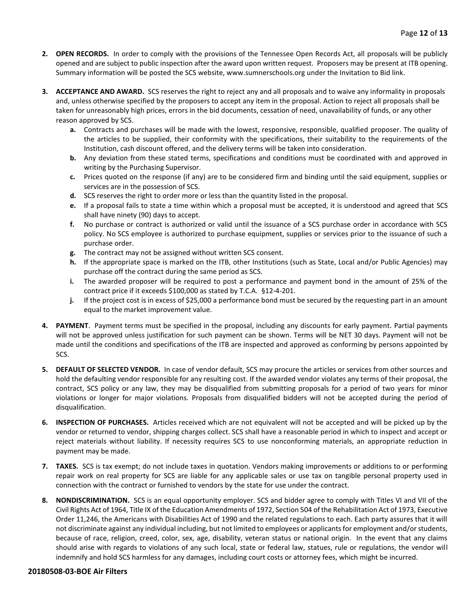- **2. OPEN RECORDS.** In order to comply with the provisions of the Tennessee Open Records Act, all proposals will be publicly opened and are subject to public inspection after the award upon written request. Proposers may be present at ITB opening. Summary information will be posted the SCS website, www.sumnerschools.org under the Invitation to Bid link.
- **3. ACCEPTANCE AND AWARD.** SCS reserves the right to reject any and all proposals and to waive any informality in proposals and, unless otherwise specified by the proposers to accept any item in the proposal. Action to reject all proposals shall be taken for unreasonably high prices, errors in the bid documents, cessation of need, unavailability of funds, or any other reason approved by SCS.
	- **a.** Contracts and purchases will be made with the lowest, responsive, responsible, qualified proposer. The quality of the articles to be supplied, their conformity with the specifications, their suitability to the requirements of the Institution, cash discount offered, and the delivery terms will be taken into consideration.
	- **b.** Any deviation from these stated terms, specifications and conditions must be coordinated with and approved in writing by the Purchasing Supervisor.
	- **c.** Prices quoted on the response (if any) are to be considered firm and binding until the said equipment, supplies or services are in the possession of SCS.
	- **d.** SCS reserves the right to order more or less than the quantity listed in the proposal.
	- **e.** If a proposal fails to state a time within which a proposal must be accepted, it is understood and agreed that SCS shall have ninety (90) days to accept.
	- **f.** No purchase or contract is authorized or valid until the issuance of a SCS purchase order in accordance with SCS policy. No SCS employee is authorized to purchase equipment, supplies or services prior to the issuance of such a purchase order.
	- **g.** The contract may not be assigned without written SCS consent.
	- **h.** If the appropriate space is marked on the ITB, other Institutions (such as State, Local and/or Public Agencies) may purchase off the contract during the same period as SCS.
	- **i.** The awarded proposer will be required to post a performance and payment bond in the amount of 25% of the contract price if it exceeds \$100,000 as stated by T.C.A. §12-4-201.
	- **j.** If the project cost is in excess of \$25,000 a performance bond must be secured by the requesting part in an amount equal to the market improvement value.
- **4. PAYMENT**. Payment terms must be specified in the proposal, including any discounts for early payment. Partial payments will not be approved unless justification for such payment can be shown. Terms will be NET 30 days. Payment will not be made until the conditions and specifications of the ITB are inspected and approved as conforming by persons appointed by SCS.
- **5. DEFAULT OF SELECTED VENDOR.** In case of vendor default, SCS may procure the articles or services from other sources and hold the defaulting vendor responsible for any resulting cost. If the awarded vendor violates any terms of their proposal, the contract, SCS policy or any law, they may be disqualified from submitting proposals for a period of two years for minor violations or longer for major violations. Proposals from disqualified bidders will not be accepted during the period of disqualification.
- **6. INSPECTION OF PURCHASES.** Articles received which are not equivalent will not be accepted and will be picked up by the vendor or returned to vendor, shipping charges collect. SCS shall have a reasonable period in which to inspect and accept or reject materials without liability. If necessity requires SCS to use nonconforming materials, an appropriate reduction in payment may be made.
- **7. TAXES.** SCS is tax exempt; do not include taxes in quotation. Vendors making improvements or additions to or performing repair work on real property for SCS are liable for any applicable sales or use tax on tangible personal property used in connection with the contract or furnished to vendors by the state for use under the contract.
- **8. NONDISCRIMINATION.** SCS is an equal opportunity employer. SCS and bidder agree to comply with Titles VI and VII of the Civil Rights Act of 1964, Title IX of the Education Amendments of 1972, Section 504 of the Rehabilitation Act of 1973, Executive Order 11,246, the Americans with Disabilities Act of 1990 and the related regulations to each. Each party assures that it will not discriminate against any individual including, but not limited to employees or applicants for employment and/or students, because of race, religion, creed, color, sex, age, disability, veteran status or national origin. In the event that any claims should arise with regards to violations of any such local, state or federal law, statues, rule or regulations, the vendor will indemnify and hold SCS harmless for any damages, including court costs or attorney fees, which might be incurred.

#### **20180508-03-BOE Air Filters**